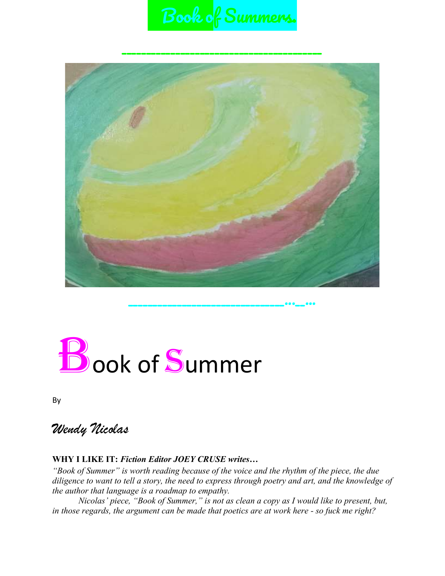# Book of Summers.



# **Book of Summer**

By

*Wendy Nicolas*

#### **WHY I LIKE IT:** *Fiction Editor JOEY CRUSE writes…*

*"Book of Summer" is worth reading because of the voice and the rhythm of the piece, the due diligence to want to tell a story, the need to express through poetry and art, and the knowledge of the author that language is a roadmap to empathy.* 

*Nicolas' piece, "Book of Summer," is not as clean a copy as I would like to present, but, in those regards, the argument can be made that poetics are at work here - so fuck me right?*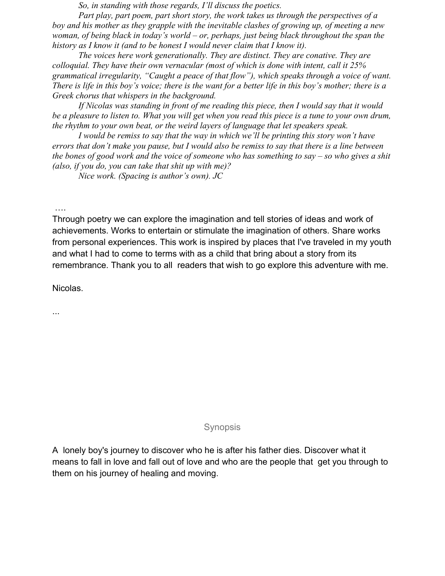*So, in standing with those regards, I'll discuss the poetics.* 

*Part play, part poem, part short story, the work takes us through the perspectives of a boy and his mother as they grapple with the inevitable clashes of growing up, of meeting a new woman, of being black in today's world – or, perhaps, just being black throughout the span the history as I know it (and to be honest I would never claim that I know it).*

*The voices here work generationally. They are distinct. They are conative. They are colloquial. They have their own vernacular (most of which is done with intent, call it 25% grammatical irregularity, "Caught a peace of that flow"), which speaks through a voice of want. There is life in this boy's voice; there is the want for a better life in this boy's mother; there is a Greek chorus that whispers in the background.*

*If Nicolas was standing in front of me reading this piece, then I would say that it would be a pleasure to listen to. What you will get when you read this piece is a tune to your own drum, the rhythm to your own beat, or the weird layers of language that let speakers speak.* 

*I would be remiss to say that the way in which we'll be printing this story won't have errors that don't make you pause, but I would also be remiss to say that there is a line between the bones of good work and the voice of someone who has something to say – so who gives a shit (also, if you do, you can take that shit up with me)?*

*Nice work. (Spacing is author's own). JC*

….

Through poetry we can explore the imagination and tell stories of ideas and work of achievements. Works to entertain or stimulate the imagination of others. Share works from personal experiences. This work is inspired by places that I've traveled in my youth and what I had to come to terms with as a child that bring about a story from its remembrance. Thank you to all readers that wish to go explore this adventure with me.

Nicolas.

...

#### **Synopsis**

A lonely boy's journey to discover who he is after his father dies. Discover what it means to fall in love and fall out of love and who are the people that get you through to them on his journey of healing and moving.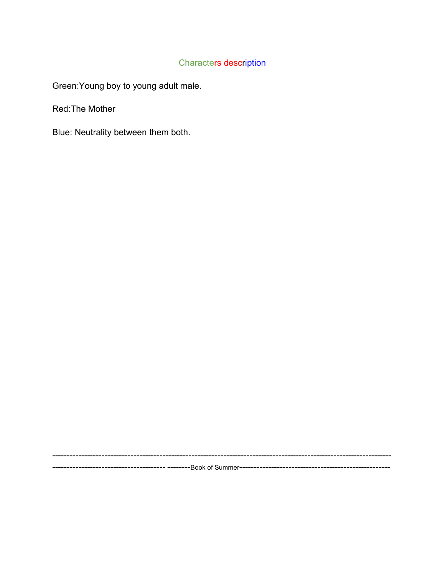#### Characters description

Green:Young boy to young adult male.

Red:The Mother

Blue: Neutrality between them both.

--------------------------------------------------------------------------------------------------------------------- --------------------------------------- --------Book of Summer----------------------------------------------------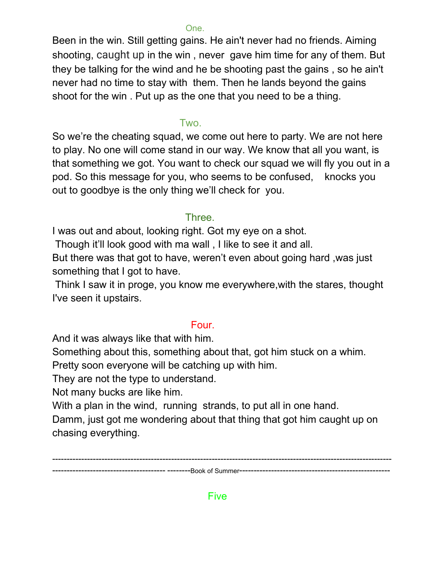#### One.

Been in the win. Still getting gains. He ain't never had no friends. Aiming shooting, caught up in the win , never gave him time for any of them. But they be talking for the wind and he be shooting past the gains , so he ain't never had no time to stay with them. Then he lands beyond the gains shoot for the win . Put up as the one that you need to be a thing.

#### Two.

So we're the cheating squad, we come out here to party. We are not here to play. No one will come stand in our way. We know that all you want, is that something we got. You want to check our squad we will fly you out in a pod. So this message for you, who seems to be confused, knocks you out to goodbye is the only thing we'll check for you.

#### Three.

I was out and about, looking right. Got my eye on a shot.

Though it'll look good with ma wall , I like to see it and all.

But there was that got to have, weren't even about going hard ,was just something that I got to have.

Think I saw it in proge, you know me everywhere,with the stares, thought I've seen it upstairs.

#### Four.

And it was always like that with him.

Something about this, something about that, got him stuck on a whim.

Pretty soon everyone will be catching up with him.

They are not the type to understand.

Not many bucks are like him.

With a plan in the wind, running strands, to put all in one hand.

Damm, just got me wondering about that thing that got him caught up on chasing everything.

--------------------------------------------------------------------------------------------------------------------- --------------------------------------- --------Book of Summer----------------------------------------------------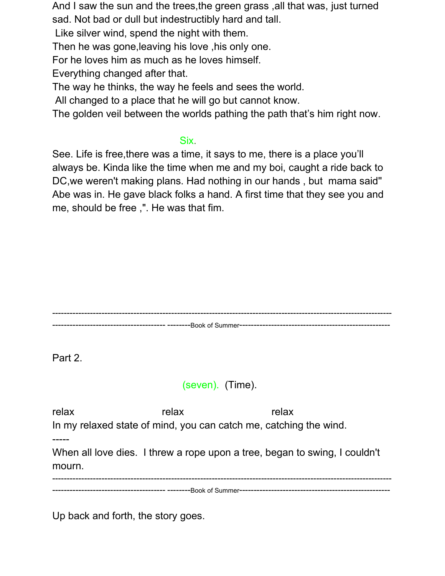And I saw the sun and the trees,the green grass ,all that was, just turned sad. Not bad or dull but indestructibly hard and tall.

Like silver wind, spend the night with them.

Then he was gone,leaving his love ,his only one.

For he loves him as much as he loves himself.

Everything changed after that.

The way he thinks, the way he feels and sees the world.

All changed to a place that he will go but cannot know.

The golden veil between the worlds pathing the path that's him right now.

### Six. Six.

See. Life is free,there was a time, it says to me, there is a place you'll always be. Kinda like the time when me and my boi, caught a ride back to DC,we weren't making plans. Had nothing in our hands , but mama said'' Abe was in. He gave black folks a hand. A first time that they see you and me, should be free ,". He was that fim.

--------------------------------------------------------------------------------------------------------------------- --------------------------------------- --------Book of Summer----------------------------------------------------

Part 2.

# (seven). (Time).

relax relax relax In my relaxed state of mind, you can catch me, catching the wind. ----- When all love dies. I threw a rope upon a tree, began to swing, I couldn't mourn. --------------------------------------------------------------------------------------------------------------------- --------------------------------------- --------Book of Summer----------------------------------------------------

Up back and forth, the story goes.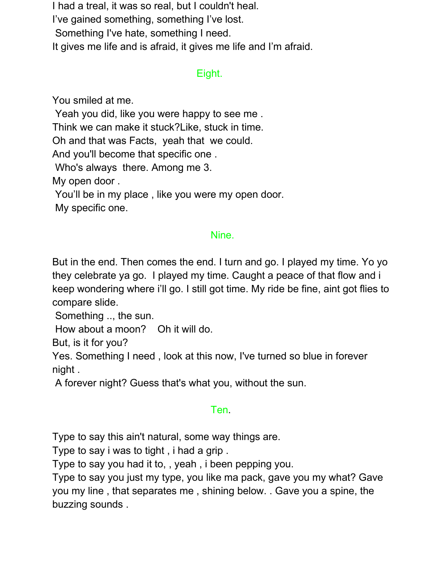I had a treal, it was so real, but I couldn't heal. I've gained something, something I've lost. Something I've hate, something I need. It gives me life and is afraid, it gives me life and I'm afraid.

### Eight.

You smiled at me.

Yeah you did, like you were happy to see me .

Think we can make it stuck?Like, stuck in time.

Oh and that was Facts, yeah that we could.

And you'll become that specific one .

Who's always there. Among me 3.

My open door .

You'll be in my place , like you were my open door.

My specific one.

### Nine.

But in the end. Then comes the end. I turn and go. I played my time. Yo yo they celebrate ya go. I played my time. Caught a peace of that flow and i keep wondering where i'll go. I still got time. My ride be fine, aint got flies to compare slide.

Something .., the sun.

How about a moon? Oh it will do.

But, is it for you?

Yes. Something I need , look at this now, I've turned so blue in forever night .

A forever night? Guess that's what you, without the sun.

## **Ten.** Ten. 2007 and 2007 and 2007 and 2007 and 2007 and 2007 and 2007 and 2007 and 2007 and 2007 and 2007 and

Type to say this ain't natural, some way things are.

Type to say i was to tight , i had a grip .

Type to say you had it to, , yeah , i been pepping you.

Type to say you just my type, you like ma pack, gave you my what? Gave you my line , that separates me , shining below. . Gave you a spine, the buzzing sounds .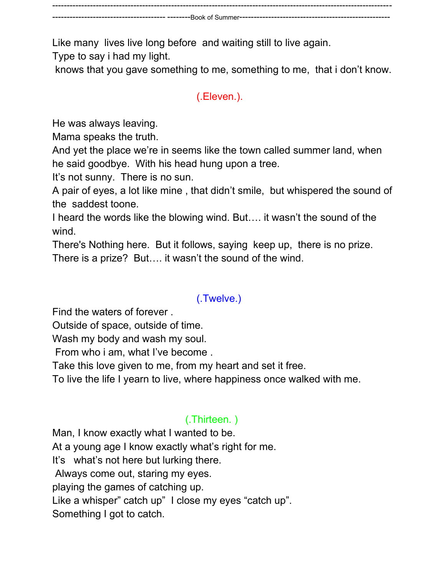--------------------------------------------------------------------------------------------------------------------- -- ----------Book of Summer---

Like many lives live long before and waiting still to live again.

Type to say i had my light.

knows that you gave something to me, something to me, that i don't know.

# (.Eleven.).

He was always leaving.

Mama speaks the truth.

And yet the place we're in seems like the town called summer land, when he said goodbye. With his head hung upon a tree.

It's not sunny. There is no sun.

A pair of eyes, a lot like mine , that didn't smile, but whispered the sound of the saddest toone.

I heard the words like the blowing wind. But…. it wasn't the sound of the wind.

There's Nothing here. But it follows, saying keep up, there is no prize. There is a prize? But…. it wasn't the sound of the wind.

# (.Twelve.)

Find the waters of forever .

Outside of space, outside of time.

Wash my body and wash my soul.

From who i am, what I've become .

Take this love given to me, from my heart and set it free.

To live the life I yearn to live, where happiness once walked with me.

# (.Thirteen. )

Man, I know exactly what I wanted to be. At a young age I know exactly what's right for me. It's what's not here but lurking there. Always come out, staring my eyes. playing the games of catching up. Like a whisper" catch up" I close my eyes "catch up". Something I got to catch.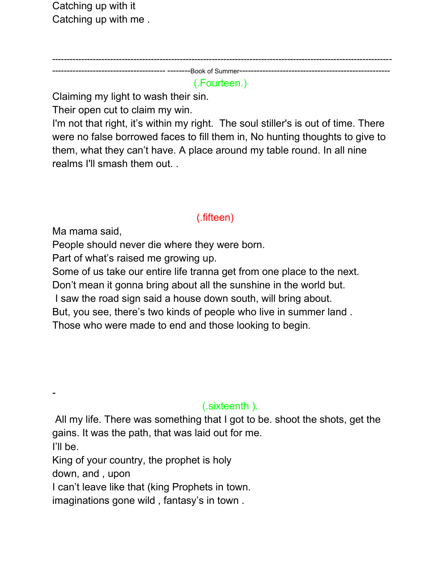Catching up with it Catching up with me .

---------------------------------------------------------------------------------------------------------------------

--------------------------------------- --------Book of Summer----------------------------------------------------

# (.Fourteen.)

Claiming my light to wash their sin.

Their open cut to claim my win.

I'm not that right, it's within my right. The soul stiller's is out of time. There were no false borrowed faces to fill them in, No hunting thoughts to give to them, what they can't have. A place around my table round. In all nine realms I'll smash them out. .

# (.fifteen)

Ma mama said,

People should never die where they were born.

Part of what's raised me growing up.

Some of us take our entire life tranna get from one place to the next.

Don't mean it gonna bring about all the sunshine in the world but.

I saw the road sign said a house down south, will bring about.

But, you see, there's two kinds of people who live in summer land .

Those who were made to end and those looking to begin.

# (.sixteenth ).

All my life. There was something that I got to be. shoot the shots, get the gains. It was the path, that was laid out for me.

I'll be.

-

King of your country, the prophet is holy

down, and , upon

I can't leave like that (king Prophets in town.

imaginations gone wild , fantasy's in town .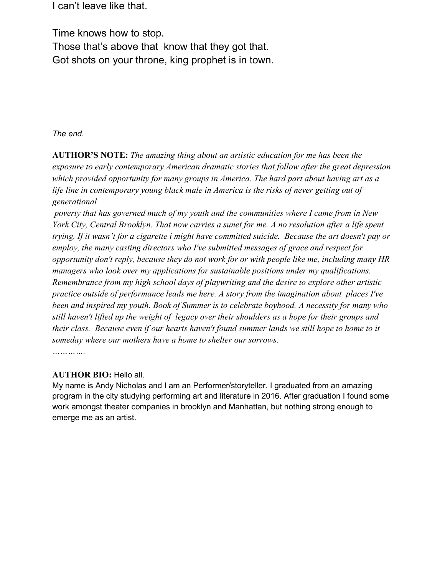I can't leave like that.

Time knows how to stop. Those that's above that know that they got that. Got shots on your throne, king prophet is in town.

#### *The end.*

**AUTHOR'S NOTE:** *The amazing thing about an artistic education for me has been the exposure to early contemporary American dramatic stories that follow after the great depression which provided opportunity for many groups in America. The hard part about having art as a life line in contemporary young black male in America is the risks of never getting out of generational*

*poverty that has governed much of my youth and the communities where I came from in New York City, Central Brooklyn. That now carries a sunet for me. A no resolution after a life spent trying. If it wasn't for a cigarette i might have committed suicide. Because the art doesn't pay or employ, the many casting directors who I've submitted messages of grace and respect for opportunity don't reply, because they do not work for or with people like me, including many HR managers who look over my applications for sustainable positions under my qualifications. Remembrance from my high school days of playwriting and the desire to explore other artistic practice outside of performance leads me here. A story from the imagination about places I've been and inspired my youth. Book of Summer is to celebrate boyhood. A necessity for many who still haven't lifted up the weight of legacy over their shoulders as a hope for their groups and their class. Because even if our hearts haven't found summer lands we still hope to home to it someday where our mothers have a home to shelter our sorrows.*

*………….*

#### **AUTHOR BIO:** Hello all.

My name is Andy Nicholas and I am an Performer/storyteller. I graduated from an amazing program in the city studying performing art and literature in 2016. After graduation I found some work amongst theater companies in brooklyn and Manhattan, but nothing strong enough to emerge me as an artist.